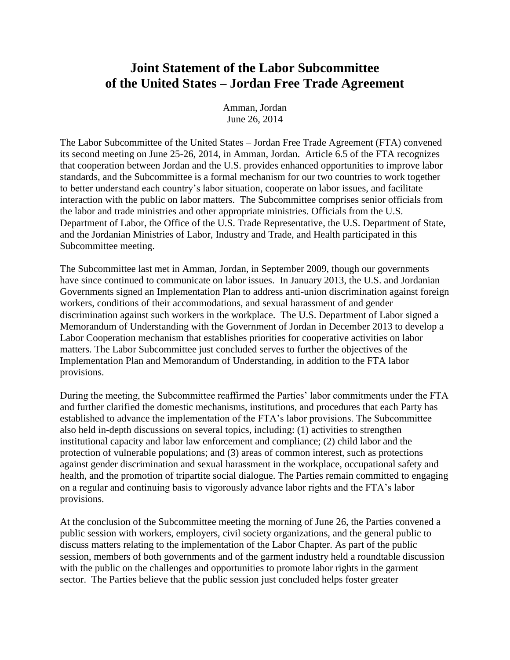## **Joint Statement of the Labor Subcommittee of the United States – Jordan Free Trade Agreement**

Amman, Jordan June 26, 2014

The Labor Subcommittee of the United States – Jordan Free Trade Agreement (FTA) convened its second meeting on June 25-26, 2014, in Amman, Jordan. Article 6.5 of the FTA recognizes that cooperation between Jordan and the U.S. provides enhanced opportunities to improve labor standards, and the Subcommittee is a formal mechanism for our two countries to work together to better understand each country's labor situation, cooperate on labor issues, and facilitate interaction with the public on labor matters. The Subcommittee comprises senior officials from the labor and trade ministries and other appropriate ministries. Officials from the U.S. Department of Labor, the Office of the U.S. Trade Representative, the U.S. Department of State, and the Jordanian Ministries of Labor, Industry and Trade, and Health participated in this Subcommittee meeting.

The Subcommittee last met in Amman, Jordan, in September 2009, though our governments have since continued to communicate on labor issues. In January 2013, the U.S. and Jordanian Governments signed an Implementation Plan to address anti-union discrimination against foreign workers, conditions of their accommodations, and sexual harassment of and gender discrimination against such workers in the workplace. The U.S. Department of Labor signed a Memorandum of Understanding with the Government of Jordan in December 2013 to develop a Labor Cooperation mechanism that establishes priorities for cooperative activities on labor matters. The Labor Subcommittee just concluded serves to further the objectives of the Implementation Plan and Memorandum of Understanding, in addition to the FTA labor provisions.

During the meeting, the Subcommittee reaffirmed the Parties' labor commitments under the FTA and further clarified the domestic mechanisms, institutions, and procedures that each Party has established to advance the implementation of the FTA's labor provisions. The Subcommittee also held in-depth discussions on several topics, including: (1) activities to strengthen institutional capacity and labor law enforcement and compliance; (2) child labor and the protection of vulnerable populations; and (3) areas of common interest, such as protections against gender discrimination and sexual harassment in the workplace, occupational safety and health, and the promotion of tripartite social dialogue. The Parties remain committed to engaging on a regular and continuing basis to vigorously advance labor rights and the FTA's labor provisions.

At the conclusion of the Subcommittee meeting the morning of June 26, the Parties convened a public session with workers, employers, civil society organizations, and the general public to discuss matters relating to the implementation of the Labor Chapter. As part of the public session, members of both governments and of the garment industry held a roundtable discussion with the public on the challenges and opportunities to promote labor rights in the garment sector. The Parties believe that the public session just concluded helps foster greater